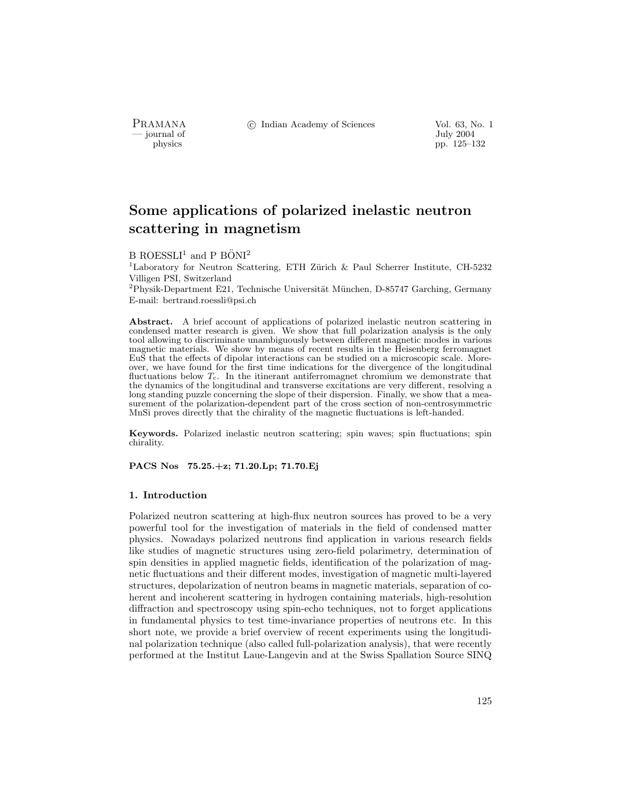PRAMANA °c Indian Academy of Sciences Vol. 63, No. 1

— July 2004<br>
physics<br>
pp. 125–1 pp. 125–132

# Some applications of polarized inelastic neutron scattering in magnetism

B ROESSLI<sup>1</sup> and P BÖNI<sup>2</sup>

<sup>1</sup>Laboratory for Neutron Scattering, ETH Zürich & Paul Scherrer Institute, CH-5232 Villigen PSI, Switzerland

 ${}^{2}$ Physik-Department E21, Technische Universität München, D-85747 Garching, Germany E-mail: bertrand.roessli@psi.ch

Abstract. A brief account of applications of polarized inelastic neutron scattering in condensed matter research is given. We show that full polarization analysis is the only tool allowing to discriminate unambiguously between different magnetic modes in various magnetic materials. We show by means of recent results in the Heisenberg ferromagnet EuS that the effects of dipolar interactions can be studied on a microscopic scale. Moreover, we have found for the first time indications for the divergence of the longitudinal fluctuations below  $T_c$ . In the itinerant antiferromagnet chromium we demonstrate that the dynamics of the longitudinal and transverse excitations are very different, resolving a long standing puzzle concerning the slope of their dispersion. Finally, we show that a measurement of the polarization-dependent part of the cross section of non-centrosymmetric MnSi proves directly that the chirality of the magnetic fluctuations is left-handed.

Keywords. Polarized inelastic neutron scattering; spin waves; spin fluctuations; spin chirality.

PACS Nos 75.25.+z; 71.20.Lp; 71.70.Ej

## 1. Introduction

Polarized neutron scattering at high-flux neutron sources has proved to be a very powerful tool for the investigation of materials in the field of condensed matter physics. Nowadays polarized neutrons find application in various research fields like studies of magnetic structures using zero-field polarimetry, determination of spin densities in applied magnetic fields, identification of the polarization of magnetic fluctuations and their different modes, investigation of magnetic multi-layered structures, depolarization of neutron beams in magnetic materials, separation of coherent and incoherent scattering in hydrogen containing materials, high-resolution diffraction and spectroscopy using spin-echo techniques, not to forget applications in fundamental physics to test time-invariance properties of neutrons etc. In this short note, we provide a brief overview of recent experiments using the longitudinal polarization technique (also called full-polarization analysis), that were recently performed at the Institut Laue-Langevin and at the Swiss Spallation Source SINQ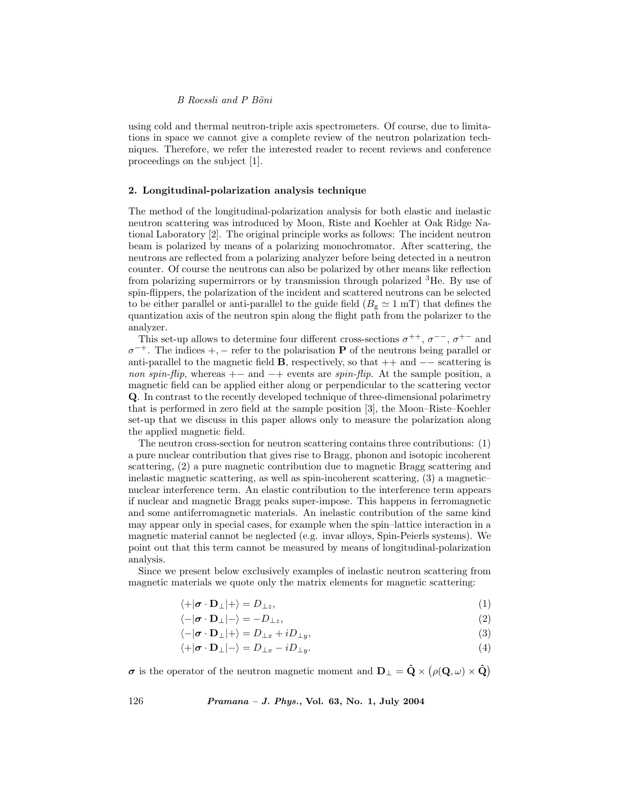## B Roessli and P Böni

using cold and thermal neutron-triple axis spectrometers. Of course, due to limitations in space we cannot give a complete review of the neutron polarization techniques. Therefore, we refer the interested reader to recent reviews and conference proceedings on the subject [1].

# 2. Longitudinal-polarization analysis technique

The method of the longitudinal-polarization analysis for both elastic and inelastic neutron scattering was introduced by Moon, Riste and Koehler at Oak Ridge National Laboratory [2]. The original principle works as follows: The incident neutron beam is polarized by means of a polarizing monochromator. After scattering, the neutrons are reflected from a polarizing analyzer before being detected in a neutron counter. Of course the neutrons can also be polarized by other means like reflection from polarizing supermirrors or by transmission through polarized <sup>3</sup>He. By use of spin-flippers, the polarization of the incident and scattered neutrons can be selected to be either parallel or anti-parallel to the guide field  $(B_g \simeq 1 \text{ mT})$  that defines the quantization axis of the neutron spin along the flight path from the polarizer to the analyzer.

This set-up allows to determine four different cross-sections  $\sigma^{++}$ ,  $\sigma^{--}$ ,  $\sigma^{+-}$  and  $\sigma^{-+}$ . The indices +, – refer to the polarisation **P** of the neutrons being parallel or anti-parallel to the magnetic field **B**, respectively, so that  $++$  and  $--$  scattering is non spin-flip, whereas  $+$  and  $-$ + events are spin-flip. At the sample position, a magnetic field can be applied either along or perpendicular to the scattering vector Q. In contrast to the recently developed technique of three-dimensional polarimetry that is performed in zero field at the sample position [3], the Moon–Riste–Koehler set-up that we discuss in this paper allows only to measure the polarization along the applied magnetic field.

The neutron cross-section for neutron scattering contains three contributions: (1) a pure nuclear contribution that gives rise to Bragg, phonon and isotopic incoherent scattering, (2) a pure magnetic contribution due to magnetic Bragg scattering and inelastic magnetic scattering, as well as spin-incoherent scattering, (3) a magnetic– nuclear interference term. An elastic contribution to the interference term appears if nuclear and magnetic Bragg peaks super-impose. This happens in ferromagnetic and some antiferromagnetic materials. An inelastic contribution of the same kind may appear only in special cases, for example when the spin–lattice interaction in a magnetic material cannot be neglected (e.g. invar alloys, Spin-Peierls systems). We point out that this term cannot be measured by means of longitudinal-polarization analysis.

Since we present below exclusively examples of inelastic neutron scattering from magnetic materials we quote only the matrix elements for magnetic scattering:

$$
\langle +|\boldsymbol{\sigma} \cdot \mathbf{D}_{\perp}|+\rangle = D_{\perp z},\tag{1}
$$

 $\langle -|\boldsymbol{\sigma} \cdot \mathbf{D}_{\perp}| - \rangle = -D_{\perp z},$  (2)

 $\langle -|\boldsymbol{\sigma} \cdot \mathbf{D}_{\perp}|+\rangle = D_{\perp x} + iD_{\perp y},$  (3)

 $\langle +|\boldsymbol{\sigma} \cdot \mathbf{D}_\perp| - \rangle = D_{\perp x} - iD_{\perp y}$ . (4)

 $\sigma$  is the operator of the neutron magnetic moment and  $D_{\perp} = \hat{Q} \times (\rho(Q, \omega) \times \hat{Q})$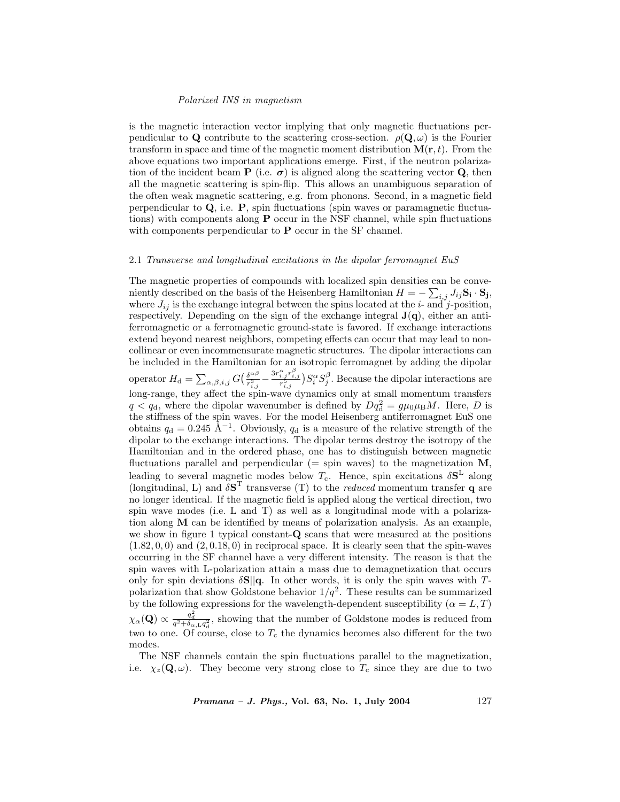#### Polarized INS in magnetism

is the magnetic interaction vector implying that only magnetic fluctuations perpendicular to Q contribute to the scattering cross-section.  $\rho(\mathbf{Q}, \omega)$  is the Fourier transform in space and time of the magnetic moment distribution  $\mathbf{M}(\mathbf{r}, t)$ . From the above equations two important applications emerge. First, if the neutron polarization of the incident beam **P** (i.e.  $\sigma$ ) is aligned along the scattering vector **Q**, then all the magnetic scattering is spin-flip. This allows an unambiguous separation of the often weak magnetic scattering, e.g. from phonons. Second, in a magnetic field perpendicular to  $Q$ , i.e.  $P$ , spin fluctuations (spin waves or paramagnetic fluctuations) with components along  $P$  occur in the NSF channel, while spin fluctuations with components perpendicular to **P** occur in the SF channel.

## 2.1 Transverse and longitudinal excitations in the dipolar ferromagnet EuS

The magnetic properties of compounds with localized spin densities can be conveniently described on the basis of the Heisenberg Hamiltonian  $H = -\sum_{i,j} J_{ij} \mathbf{S_i} \cdot \mathbf{S_j}$ , where  $J_{ij}$  is the exchange integral between the spins located at the *i*- and *j*-position, respectively. Depending on the sign of the exchange integral  $J(q)$ , either an antiferromagnetic or a ferromagnetic ground-state is favored. If exchange interactions extend beyond nearest neighbors, competing effects can occur that may lead to noncollinear or even incommensurate magnetic structures. The dipolar interactions can be included in the Hamiltonian for an isotropic ferromagnet by adding the dipolar operator  $H_{\rm d} = \sum_{\alpha,\beta,i,j} G\left(\frac{\delta^{\alpha\beta}}{r_{i,j}^3} - \frac{3r_{i,j}^{\alpha}r_{i,j}^{\beta}}{r_{i,j}^5}\right) S_i^{\alpha} S_j^{\beta}$ . Because the dipolar interactions are long-range, they affect the spin-wave dynamics only at small momentum transfers  $q < q_d$ , where the dipolar wavenumber is defined by  $Dq_d^2 = g\mu_0\mu_B M$ . Here, D is the stiffness of the spin waves. For the model Heisenberg antiferromagnet EuS one obtains  $q_d = 0.245 \text{ Å}^{-1}$ . Obviously,  $q_d$  is a measure of the relative strength of the dipolar to the exchange interactions. The dipolar terms destroy the isotropy of the Hamiltonian and in the ordered phase, one has to distinguish between magnetic fluctuations parallel and perpendicular (= spin waves) to the magnetization  $M$ , leading to several magnetic modes below  $T_c$ . Hence, spin excitations  $\delta S^L$  along (longitudinal, L) and  $\delta S^T$  transverse (T) to the *reduced* momentum transfer **q** are no longer identical. If the magnetic field is applied along the vertical direction, two spin wave modes (i.e. L and T) as well as a longitudinal mode with a polarization along M can be identified by means of polarization analysis. As an example, we show in figure 1 typical constant-Q scans that were measured at the positions  $(1.82, 0, 0)$  and  $(2, 0.18, 0)$  in reciprocal space. It is clearly seen that the spin-waves occurring in the SF channel have a very different intensity. The reason is that the spin waves with L-polarization attain a mass due to demagnetization that occurs only for spin deviations  $\delta S||q$ . In other words, it is only the spin waves with Tpolarization that show Goldstone behavior  $1/q^2$ . These results can be summarized by the following expressions for the wavelength-dependent susceptibility ( $\alpha = L, T$ )  $\chi_{\alpha}(\mathbf{Q}) \propto \frac{q_d^2}{q^2 + \delta_{\alpha,L} q_d^2}$ , showing that the number of Goldstone modes is reduced from two to one. Of course, close to  $T_c$  the dynamics becomes also different for the two modes.

The NSF channels contain the spin fluctuations parallel to the magnetization, i.e.  $\chi_z(\mathbf{Q}, \omega)$ . They become very strong close to  $T_c$  since they are due to two

 $Pramana - J. Phys., Vol. 63, No. 1, July 2004$  127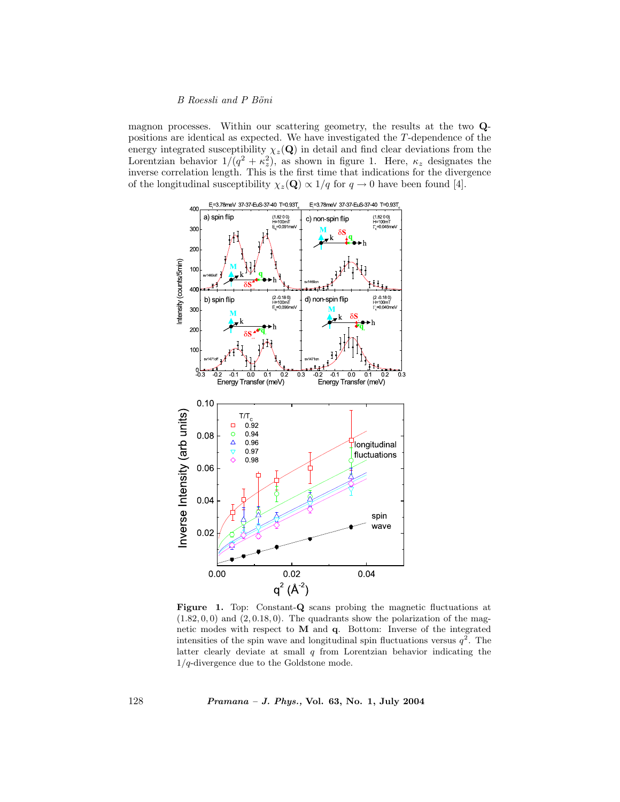# B Roessli and P Böni

magnon processes. Within our scattering geometry, the results at the two Qpositions are identical as expected. We have investigated the T-dependence of the energy integrated susceptibility  $\chi_z(\mathbf{Q})$  in detail and find clear deviations from the Lorentzian behavior  $1/(q^2 + \kappa_z^2)$ , as shown in figure 1. Here,  $\kappa_z$  designates the inverse correlation length. This is the first time that indications for the divergence of the longitudinal susceptibility  $\chi_z(\mathbf{Q}) \propto 1/q$  for  $q \to 0$  have been found [4].



Figure 1. Top: Constant-Q scans probing the magnetic fluctuations at  $(1.82, 0, 0)$  and  $(2, 0.18, 0)$ . The quadrants show the polarization of the magnetic modes with respect to M and q. Bottom: Inverse of the integrated intensities of the spin wave and longitudinal spin fluctuations versus  $q^2$ . The latter clearly deviate at small  $q$  from Lorentzian behavior indicating the  $1/q$ -divergence due to the Goldstone mode.

128 Pramana – J. Phys., Vol. 63, No. 1, July 2004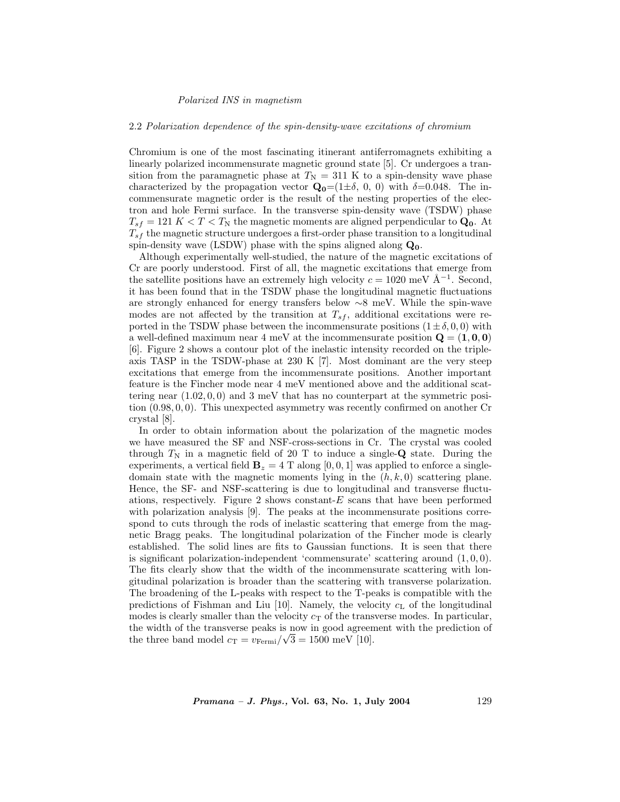#### Polarized INS in magnetism

#### 2.2 Polarization dependence of the spin-density-wave excitations of chromium

Chromium is one of the most fascinating itinerant antiferromagnets exhibiting a linearly polarized incommensurate magnetic ground state [5]. Cr undergoes a transition from the paramagnetic phase at  $T_N = 311$  K to a spin-density wave phase characterized by the propagation vector  $\mathbf{Q}_0=(1\pm\delta, 0, 0)$  with  $\delta=0.048$ . The incommensurate magnetic order is the result of the nesting properties of the electron and hole Fermi surface. In the transverse spin-density wave (TSDW) phase  $T_{sf} = 121 K < T < T_N$  the magnetic moments are aligned perpendicular to  $\mathbf{Q_0}$ . At  $T_{sf}$  the magnetic structure undergoes a first-order phase transition to a longitudinal spin-density wave (LSDW) phase with the spins aligned along  $\mathbf{Q}_{0}$ .

Although experimentally well-studied, the nature of the magnetic excitations of Cr are poorly understood. First of all, the magnetic excitations that emerge from the satellite positions have an extremely high velocity  $c = 1020$  meV  $Å^{-1}$ . Second, it has been found that in the TSDW phase the longitudinal magnetic fluctuations are strongly enhanced for energy transfers below ∼8 meV. While the spin-wave modes are not affected by the transition at  $T_{sf}$ , additional excitations were reported in the TSDW phase between the incommensurate positions  $(1 \pm \delta, 0, 0)$  with a well-defined maximum near 4 meV at the incommensurate position  $\mathbf{Q} = (1, 0, 0)$ [6]. Figure 2 shows a contour plot of the inelastic intensity recorded on the tripleaxis TASP in the TSDW-phase at 230 K [7]. Most dominant are the very steep excitations that emerge from the incommensurate positions. Another important feature is the Fincher mode near 4 meV mentioned above and the additional scattering near  $(1.02, 0, 0)$  and 3 meV that has no counterpart at the symmetric position (0.98, 0, 0). This unexpected asymmetry was recently confirmed on another Cr crystal [8].

In order to obtain information about the polarization of the magnetic modes we have measured the SF and NSF-cross-sections in Cr. The crystal was cooled through  $T_N$  in a magnetic field of 20 T to induce a single-Q state. During the experiments, a vertical field  $\mathbf{B}_z = 4$  T along [0, 0, 1] was applied to enforce a singledomain state with the magnetic moments lying in the  $(h, k, 0)$  scattering plane. Hence, the SF- and NSF-scattering is due to longitudinal and transverse fluctuations, respectively. Figure 2 shows constant- $E$  scans that have been performed with polarization analysis [9]. The peaks at the incommensurate positions correspond to cuts through the rods of inelastic scattering that emerge from the magnetic Bragg peaks. The longitudinal polarization of the Fincher mode is clearly established. The solid lines are fits to Gaussian functions. It is seen that there is significant polarization-independent 'commensurate' scattering around  $(1, 0, 0)$ . The fits clearly show that the width of the incommensurate scattering with longitudinal polarization is broader than the scattering with transverse polarization. The broadening of the L-peaks with respect to the T-peaks is compatible with the predictions of Fishman and Liu [10]. Namely, the velocity  $c<sub>L</sub>$  of the longitudinal modes is clearly smaller than the velocity  $c<sub>T</sub>$  of the transverse modes. In particular, the width of the transverse peaks is now in good agreement with the prediction of the three band model  $c_T = v_{Fermi}/\sqrt{3} = 1500$  meV [10].

Pramana - J. Phys., Vol. 63, No. 1, July 2004 129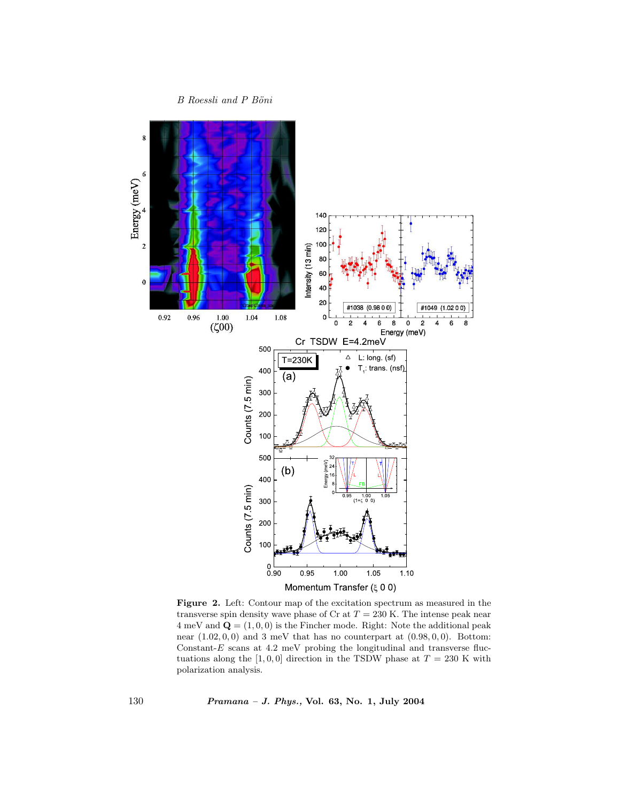$B$  Roessli and  $P$  Böni



Figure 2. Left: Contour map of the excitation spectrum as measured in the transverse spin density wave phase of Cr at  $T = 230$  K. The intense peak near  $4 \text{ meV}$  and  $\mathbf{Q} = (1, 0, 0)$  is the Fincher mode. Right: Note the additional peak near  $(1.02, 0, 0)$  and 3 meV that has no counterpart at  $(0.98, 0, 0)$ . Bottom: Constant- $E$  scans at 4.2 meV probing the longitudinal and transverse fluctuations along the [1, 0, 0] direction in the TSDW phase at  $T = 230$  K with polarization analysis.

130 Pramana – J. Phys., Vol. 63, No. 1, July 2004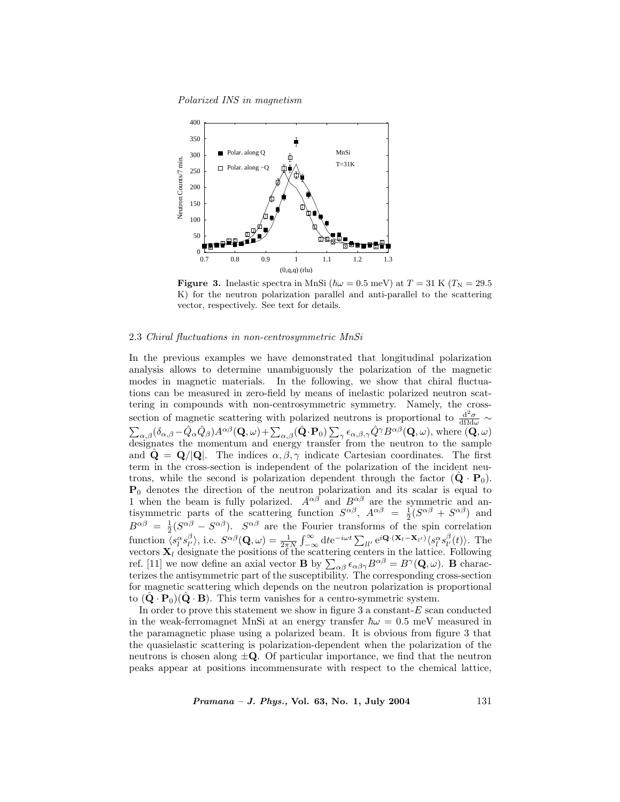Polarized INS in magnetism



**Figure 3.** Inelastic spectra in MnSi  $(\hbar \omega = 0.5 \text{ meV})$  at  $T = 31 \text{ K } (T_N = 29.5 \text{ m})$ K) for the neutron polarization parallel and anti-parallel to the scattering vector, respectively. See text for details.

## 2.3 Chiral fluctuations in non-centrosymmetric MnSi

In the previous examples we have demonstrated that longitudinal polarization analysis allows to determine unambiguously the polarization of the magnetic modes in magnetic materials. In the following, we show that chiral fluctuations can be measured in zero-field by means of inelastic polarized neutron scattering in compounds with non-centrosymmetric symmetry. Namely, the crosssection of magnetic scattering with polarized neutrons is proportional to  $\frac{d^2\sigma}{d\Omega d\omega}$  ~  $\sum_{\alpha,\beta} (\delta_{\alpha,\beta} - \hat{Q}_{\alpha} \hat{Q}_{\beta}) A^{\alpha\beta} (\mathbf{Q}, \omega) + \sum_{\alpha,\beta} (\hat{\mathbf{Q}} \cdot \mathbf{P}_{0}) \sum_{\gamma} \epsilon_{\alpha,\beta,\gamma} \hat{Q}^{\gamma} B^{\alpha\beta} (\mathbf{Q}, \omega)$ , where  $(\mathbf{Q}, \omega)$ designates the momentum and energy transfer from the neutron to the sample and  $\mathbf{Q} = \mathbf{Q}/|\mathbf{Q}|$ . The indices  $\alpha, \beta, \gamma$  indicate Cartesian coordinates. The first term in the cross-section is independent of the polarization of the incident neutrons, while the second is polarization dependent through the factor  $(Q \cdot P_0)$ .  $P_0$  denotes the direction of the neutron polarization and its scalar is equal to 1 when the beam is fully polarized.  $A^{\alpha\beta}$  and  $B^{\alpha\beta}$  are the symmetric and antisymmetric parts of the scattering function  $S^{\alpha\beta}$ ,  $A^{\alpha\beta} = \frac{1}{2}(S^{\alpha\beta} + S^{\alpha\beta})$  and  $B^{\alpha\beta} = \frac{1}{2}(S^{\alpha\beta} - S^{\alpha\beta})$ .  $S^{\alpha\beta}$  are the Fourier transforms of the spin correlation function  $s_l^{\alpha} s_{l'}^{\beta}$ , i.e.  $S^{\alpha\beta}(\mathbf{Q}, \omega) = \frac{1}{2\pi N} \int_{-\infty}^{\infty} dt e^{-i\omega t} \sum_{ll'} e^{i\mathbf{Q} \cdot (\mathbf{X}_l - \mathbf{X}_{l'})} \langle s_l^{\alpha} s_{l'}^{\beta}(t) \rangle$ . The vectors  $X_l$  designate the positions of the scattering centers in the lattice. Following ref. [11] we now define an axial vector **B** by  $\sum_{\alpha\beta} \epsilon_{\alpha\beta\gamma} B^{\alpha\beta} = B^{\gamma}(\mathbf{Q}, \omega)$ . **B** characterizes the antisymmetric part of the susceptibility. The corresponding cross-section for magnetic scattering which depends on the neutron polarization is proportional to  $(Q \cdot P_0)(Q \cdot B)$ . This term vanishes for a centro-symmetric system.

In order to prove this statement we show in figure 3 a constant- $E$  scan conducted in the weak-ferromagnet MnSi at an energy transfer  $\hbar\omega = 0.5$  meV measured in the paramagnetic phase using a polarized beam. It is obvious from figure 3 that the quasielastic scattering is polarization-dependent when the polarization of the neutrons is chosen along  $\pm \mathbf{Q}$ . Of particular importance, we find that the neutron peaks appear at positions incommensurate with respect to the chemical lattice,

 $Pramana - J. Phys., Vol. 63, No. 1, July 2004$  131